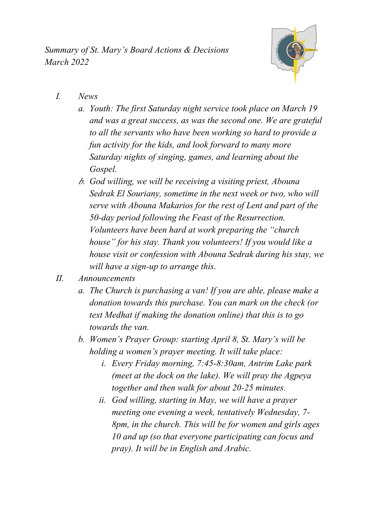*Summary of St. Mary's Board Actions & Decisions March 2022*



- *I. News*
	- *a. Youth: The first Saturday night service took place on March 19 and was a great success, as was the second one. We are grateful to all the servants who have been working so hard to provide a fun activity for the kids, and look forward to many more Saturday nights of singing, games, and learning about the Gospel.*
	- *b. God willing, we will be receiving a visiting priest, Abouna Sedrak El Souriany, sometime in the next week or two, who will serve with Abouna Makarios for the rest of Lent and part of the 50-day period following the Feast of the Resurrection. Volunteers have been hard at work preparing the "church house" for his stay. Thank you volunteers! If you would like a house visit or confession with Abouna Sedrak during his stay, we will have a sign-up to arrange this.*
- *II. Announcements*
	- *a. The Church is purchasing a van! If you are able, please make a donation towards this purchase. You can mark on the check (or text Medhat if making the donation online) that this is to go towards the van.*
	- *b. Women's Prayer Group: starting April 8, St. Mary's will be holding a women's prayer meeting. It will take place:*
		- *i. Every Friday morning, 7:45-8:30am, Antrim Lake park (meet at the dock on the lake). We will pray the Agpeya together and then walk for about 20-25 minutes.*
		- *ii. God willing, starting in May, we will have a prayer meeting one evening a week, tentatively Wednesday, 7- 8pm, in the church. This will be for women and girls ages 10 and up (so that everyone participating can focus and pray). It will be in English and Arabic.*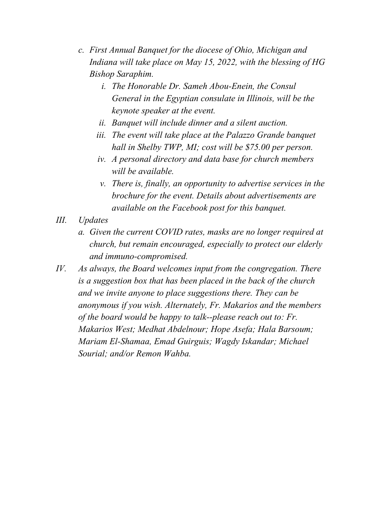- *c. First Annual Banquet for the diocese of Ohio, Michigan and Indiana will take place on May 15, 2022, with the blessing of HG Bishop Saraphim.*
	- *i. The Honorable Dr. Sameh Abou-Enein, the Consul General in the Egyptian consulate in Illinois, will be the keynote speaker at the event.*
	- *ii. Banquet will include dinner and a silent auction.*
	- *iii. The event will take place at the Palazzo Grande banquet hall in Shelby TWP, MI; cost will be \$75.00 per person.*
	- *iv. A personal directory and data base for church members will be available.*
	- *v. There is, finally, an opportunity to advertise services in the brochure for the event. Details about advertisements are available on the Facebook post for this banquet.*
- *III. Updates*
	- *a. Given the current COVID rates, masks are no longer required at church, but remain encouraged, especially to protect our elderly and immuno-compromised.*
- *IV. As always, the Board welcomes input from the congregation. There is a suggestion box that has been placed in the back of the church and we invite anyone to place suggestions there. They can be anonymous if you wish. Alternately, Fr. Makarios and the members of the board would be happy to talk--please reach out to: Fr. Makarios West; Medhat Abdelnour; Hope Asefa; Hala Barsoum; Mariam El-Shamaa, Emad Guirguis; Wagdy Iskandar; Michael Sourial; and/or Remon Wahba.*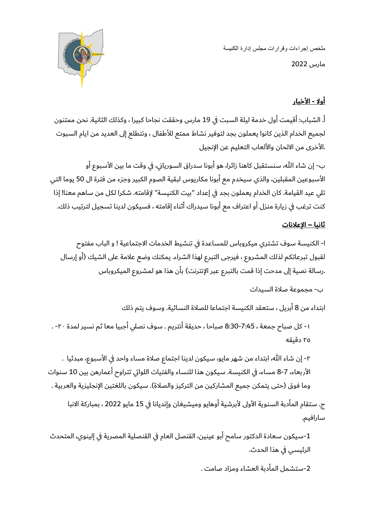ملخص إجراءات وقرارات مجلس إدارة الكنيسة مارس 2022



## **أوال - األخبار**

أ. الشباب: أقيمت أول خدمة ليلة السبت في 19 مارس وحققت نجاحا كبيرا ، وكذلك الثانية. نحن ممتنون لجميع الخدام الذين كانوا يعملون بجد لتوفير نشاط ممتع لألطفال ، ونتطلع إلى العديد من ايام السبوت .األخرى من االلحان واأللعاب التعليم عن اإلنجيل

ب- إن شاء الله، سنستقبل كاهنا زائرا، هو أبونا سدراق السورياني، في وقت ما بين الأسبوع أو األسبوعين المقبلين، والذي سيخدم مع أبونا مكاريوس لبقية الصوم الكبير وجزء من فترة ال 50 يوما التي تلي عيد القيامة. كان الخدام يعملون بجد في إعداد "بيت الكنيسة" إلقامته. شكرا لكل من ساهم معنا! إذا كنت ترغب في زيارة منزل أو اعتراف مع أبونا سيدراك أثناء إقامته ، فسيكون لدينا تسجيل لترتيب ذلك.

## **ثانيا – اإلعالنات**

ا- الكنيسة سوف تشتري ميكروباس للمساعدة في تنشيط الخدمات االجتماعية ! و الباب مفتوح لقبول تبرعاتكم لذلك المشروع ، فيرجى التبرع لهذا الشراء. يمكنك وضع علامة على الشيك (أو إرسال .رسالة نصية إلى مدحت إذا قمت بالتبرع عبر الإنترنت) بأن هذا هو لمشروع الميكروباس

```
ب- مجموعة صالة السيدات
```
ابتداء من 8 أبريل ، ستعقد الكنيسة اجتماعا للصالة النسائية. وسوف يتم ذلك

-١ كل صباح جمعة ، 8:30-7:45 صباحا ، حديقة أنتر يم . سوف نصلي أجبيا معا ثم نسير لمدة -٢٠ . ٢٥ دقيقه

٢- إن شاء الله، ابتداء من شهر مايو، سيكون لدينا اجتماع صلاة مساء واحد في الأسبوع، مبدئيا . األربعاء، 8-7 مساء، في الكنيسة. سيكون هذا للنساء والفتيات اللواتي تتراوح أعمارهن بين 10 سنوات وما فوق (حتى يتمكن جميع المشاركين من التركيز والصلاة). سيكون باللغتين الإنجليزية والعربية .

ج. ستقام المأدبة السنوية الأولى لأبرشية أوهايو وميشيغان وإنديانا في 15 مايو 2022 ، بمباركة الانبا سارافيم.

-1سيكون سعادة الدكتور سامح أبو عينين، القنصل العام في القنصلية المصرية في إلينوي، المتحدث الرئيسي في هذا الحدث.

-2ستشمل المأدبة العشاء ومزاد صامت .